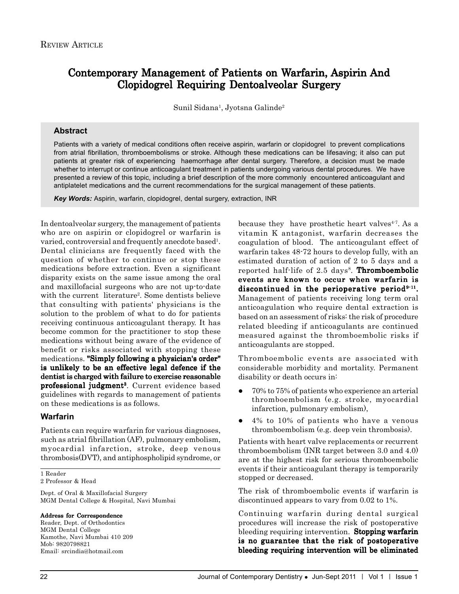# Contemporary Management of Patients on Warfarin, Aspirin And Clopidogrel Requiring Dentoalveolar Surgery

Sunil Sidana<sup>1</sup>, Jyotsna Galinde<sup>2</sup>

### **Abstract**

Patients with a variety of medical conditions often receive aspirin, warfarin or clopidogrel to prevent complications from atrial fibrillation, thromboembolisms or stroke. Although these medications can be lifesaving; it also can put patients at greater risk of experiencing haemorrhage after dental surgery. Therefore, a decision must be made whether to interrupt or continue anticoagulant treatment in patients undergoing various dental procedures. We have presented a review of this topic, including a brief description of the more commonly encountered anticoagulant and antiplatelet medications and the current recommendations for the surgical management of these patients.

*Key Words:* Aspirin, warfarin, clopidogrel, dental surgery, extraction, INR

In dentoalveolar surgery, the management of patients who are on aspirin or clopidogrel or warfarin is varied, controversial and frequently anecdote based<sup>1</sup>. Dental clinicians are frequently faced with the question of whether to continue or stop these medications before extraction. Even a significant disparity exists on the same issue among the oral and maxillofacial surgeons who are not up-to-date with the current literature<sup>2</sup>. Some dentists believe that consulting with patients' physicians is the solution to the problem of what to do for patients receiving continuous anticoagulant therapy. It has become common for the practitioner to stop these medications without being aware of the evidence of benefit or risks associated with stopping these medications. "Simply following a physician's order" is unlikely to be an effective legal defence if the dentist is charged with failure to exercise reasonable professional judgment<sup>3</sup>. Current evidence based guidelines with regards to management of patients on these medications is as follows.

### **Warfarin**

Patients can require warfarin for various diagnoses, such as atrial fibrillation (AF), pulmonary embolism, myocardial infarction, stroke, deep venous thrombosis(DVT), and antiphospholipid syndrome, or

1 Reader

2 Professor & Head

Dept. of Oral & Maxillofacial Surgery MGM Dental College & Hospital, Navi Mumbai

#### Address for Correspondence

Reader, Dept. of Orthodontics MGM Dental College Kamothe, Navi Mumbai 410 209 Mob: 9820798821 Email: srcindia@hotmail.com

because they have prosthetic heart valves $4.7$ . As a vitamin K antagonist, warfarin decreases the coagulation of blood. The anticoagulant effect of warfarin takes 48-72 hours to develop fully, with an estimated duration of action of 2 to 5 days and a reported half-life of  $2.5 \text{ days}$ <sup>8</sup>. **Thromboembolic** events are known to occur when warfarin is discontinued in the perioperative period $9-11$ . Management of patients receiving long term oral anticoagulation who require dental extraction is based on an assessment of risks: the risk of procedure related bleeding if anticoagulants are continued measured against the thromboembolic risks if anticoagulants are stopped.

Thromboembolic events are associated with considerable morbidity and mortality. Permanent disability or death occurs in:

- z 70% to 75% of patients who experience an arterial thromboembolism (e.g. stroke, myocardial infarction, pulmonary embolism),
- 4% to 10% of patients who have a venous thromboembolism (e.g. deep vein thrombosis).

Patients with heart valve replacements or recurrent thromboembolism (INR target between 3.0 and 4.0) are at the highest risk for serious thromboembolic events if their anticoagulant therapy is temporarily stopped or decreased.

The risk of thromboembolic events if warfarin is discontinued appears to vary from 0.02 to 1%.

Continuing warfarin during dental surgical procedures will increase the risk of postoperative bleeding requiring intervention. Stopping warfarin is no guarantee that the risk of postoperative bleeding requiring intervention will be eliminated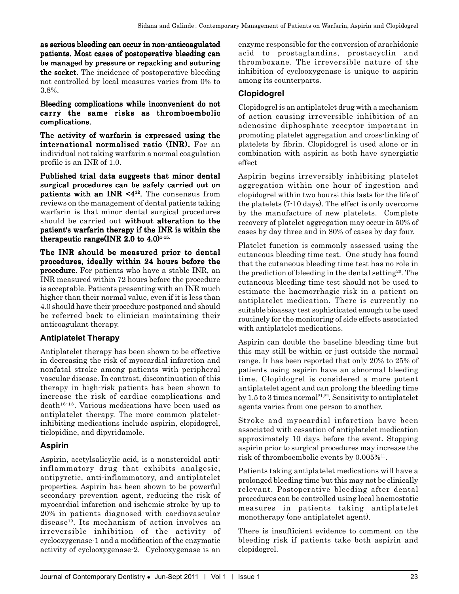as serious bleeding can occur in non-anticoagulated patients. Most cases of postoperative bleeding can be managed by pressure or repacking and suturing the socket. The incidence of postoperative bleeding not controlled by local measures varies from 0% to 3.8%.

### Bleeding complications while inconvenient do not carry the same risks as thromboembolic complications.

The activity of warfarin is expressed using the international normalised ratio (INR). For an individual not taking warfarin a normal coagulation profile is an INR of 1.0.

Published trial data suggests that minor dental surgical procedures can be safely carried out on patients with an INR  $\leq 4^{12}$ . The consensus from reviews on the management of dental patients taking warfarin is that minor dental surgical procedures should be carried out without alteration to the patient's warfarin therapy if the INR is within the therapeutic range(INR 2.0 to  $4.0$ )<sup>1-15.</sup>

The INR should be measured prior to dental procedures, ideally within 24 hours before the **procedure.** For patients who have a stable INR, an INR measured within 72 hours before the procedure is acceptable. Patients presenting with an INR much higher than their normal value, even if it is less than 4.0 should have their procedure postponed and should be referred back to clinician maintaining their anticoagulant therapy.

## **Antiplatelet Therapy**

Antiplatelet therapy has been shown to be effective in decreasing the risk of myocardial infarction and nonfatal stroke among patients with peripheral vascular disease. In contrast, discontinuation of this therapy in high-risk patients has been shown to increase the risk of cardiac complications and  $death^{16-18}$ . Various medications have been used as antiplatelet therapy. The more common plateletinhibiting medications include aspirin, clopidogrel, ticlopidine, and dipyridamole.

## **Aspirin**

Aspirin, acetylsalicylic acid, is a nonsteroidal antiinflammatory drug that exhibits analgesic, antipyretic, anti-inflammatory, and antiplatelet properties. Aspirin has been shown to be powerful secondary prevention agent, reducing the risk of myocardial infarction and ischemic stroke by up to 20% in patients diagnosed with cardiovascular disease19. Its mechanism of action involves an irreversible inhibition of the activity of cyclooxygenase-1 and a modification of the enzymatic activity of cyclooxygenase-2. Cyclooxygenase is an

enzyme responsible for the conversion of arachidonic acid to prostaglandins, prostacyclin and thromboxane. The irreversible nature of the inhibition of cyclooxygenase is unique to aspirin among its counterparts.

# **Clopidogrel**

Clopidogrel is an antiplatelet drug with a mechanism of action causing irreversible inhibition of an adenosine diphosphate receptor important in promoting platelet aggregation and cross-linking of platelets by fibrin. Clopidogrel is used alone or in combination with aspirin as both have synergistic effect

Aspirin begins irreversibly inhibiting platelet aggregation within one hour of ingestion and clopidogrel within two hours; this lasts for the life of the platelets (7-10 days). The effect is only overcome by the manufacture of new platelets. Complete recovery of platelet aggregation may occur in 50% of cases by day three and in 80% of cases by day four.

Platelet function is commonly assessed using the cutaneous bleeding time test. One study has found that the cutaneous bleeding time test has no role in the prediction of bleeding in the dental setting<sup>20</sup>. The cutaneous bleeding time test should not be used to estimate the haemorrhagic risk in a patient on antiplatelet medication. There is currently no suitable bioassay test sophisticated enough to be used routinely for the monitoring of side effects associated with antiplatelet medications.

Aspirin can double the baseline bleeding time but this may still be within or just outside the normal range. It has been reported that only 20% to 25% of patients using aspirin have an abnormal bleeding time. Clopidogrel is considered a more potent antiplatelet agent and can prolong the bleeding time by 1.5 to 3 times normal<sup>21,22</sup>. Sensitivity to antiplatelet agents varies from one person to another.

Stroke and myocardial infarction have been associated with cessation of antiplatelet medication approximately 10 days before the event. Stopping aspirin prior to surgical procedures may increase the risk of thromboembolic events by  $0.005\%$ <sup>11</sup>.

Patients taking antiplatelet medications will have a prolonged bleeding time but this may not be clinically relevant. Postoperative bleeding after dental procedures can be controlled using local haemostatic measures in patients taking antiplatelet monotherapy (one antiplatelet agent).

There is insufficient evidence to comment on the bleeding risk if patients take both aspirin and clopidogrel.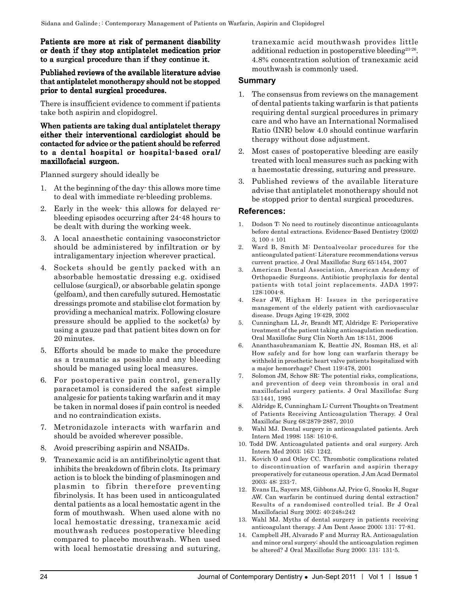### Patients are more at risk of permanent disability or death if they stop antiplatelet medication prior to a surgical procedure than if they continue it.

#### Published reviews of the available literature advise that antiplatelet monotherapy should not be stopped prior to dental surgical procedures.

There is insufficient evidence to comment if patients take both aspirin and clopidogrel.

#### When patients are taking dual antiplatelet therapy either their interventional cardiologist should be contacted for advice or the patient should be referred to a dental hospital or hospital-based oral/ maxillofacial surgeon.

Planned surgery should ideally be

- 1. At the beginning of the day- this allows more time to deal with immediate re-bleeding problems.
- 2. Early in the week- this allows for delayed rebleeding episodes occurring after 24-48 hours to be dealt with during the working week.
- 3. A local anaesthetic containing vasoconstrictor should be administered by infiltration or by intraligamentary injection wherever practical.
- 4. Sockets should be gently packed with an absorbable hemostatic dressing e.g. oxidised cellulose (surgical), or absorbable gelatin sponge (gelfoam), and then carefully sutured. Hemostatic dressings promote and stabilise clot formation by providing a mechanical matrix. Following closure pressure should be applied to the socket(s) by using a gauze pad that patient bites down on for 20 minutes.
- 5. Efforts should be made to make the procedure as a traumatic as possible and any bleeding should be managed using local measures.
- 6. For postoperative pain control, generally paracetamol is considered the safest simple analgesic for patients taking warfarin and it may be taken in normal doses if pain control is needed and no contraindication exists.
- 7. Metronidazole interacts with warfarin and should be avoided wherever possible.
- 8. Avoid prescribing aspirin and NSAIDs.
- 9. Tranexamic acid is an antifibrinolytic agent that inhibits the breakdown of fibrin clots. Its primary action is to block the binding of plasminogen and plasmin to fibrin therefore preventing fibrinolysis. It has been used in anticoagulated dental patients as a local hemostatic agent in the form of mouthwash. When used alone with no local hemostatic dressing, tranexamic acid mouthwash reduces postoperative bleeding compared to placebo mouthwash. When used with local hemostatic dressing and suturing,

tranexamic acid mouthwash provides little additional reduction in postoperative bleeding23-26. 4.8% concentration solution of tranexamic acid mouthwash is commonly used.

### **Summary**

- 1. The consensus from reviews on the management of dental patients taking warfarin is that patients requiring dental surgical procedures in primary care and who have an International Normalised Ratio (INR) below 4.0 should continue warfarin therapy without dose adjustment.
- 2. Most cases of postoperative bleeding are easily treated with local measures such as packing with a haemostatic dressing, suturing and pressure.
- 3. Published reviews of the available literature advise that antiplatelet monotherapy should not be stopped prior to dental surgical procedures.

### **References:**

- 1. Dodson T: No need to routinely discontinue anticoagulants before dental extractions. Evidence-Based Dentistry (2002) 3,  $100 \pm 101$
- 2. Ward B, Smith M: Dentoalveolar procedures for the anticoagulated patient: Literature recommendations versus current practice. J Oral Maxillofac Surg 65:1454, 2007
- 3. American Dental Association, American Academy of Orthopaedic Surgeons. Antibiotic prophylaxis for dental patients with total joint replacements. JADA 1997; 128:1004-8.
- 4. Sear JW, Higham H: Issues in the perioperative management of the elderly patient with cardiovascular disease. Drugs Aging 19:429, 2002
- 5. Cunningham LL Jr, Brandt MT, Aldridge E: Perioperative treatment of the patient taking anticoagulation medication. Oral Maxillofac Surg Clin North Am 18:151, 2006
- 6. Ananthasubramaniam K, Beattie JN, Rosman HS, et al: How safely and for how long can warfarin therapy be withheld in prosthetic heart valve patients hospitalized with a major hemorrhage? Chest 119:478, 2001
- Solomon JM, Schow SR: The potential risks, complications, and prevention of deep vein thrombosis in oral and maxillofacial surgery patients. J Oral Maxillofac Surg 53:1441, 1995
- 8. Aldridge E, Cunningham L: Current Thoughts on Treatment of Patients Receiving Anticoagulation Therapy. J Oral Maxillofac Surg 68:2879-2887, 2010
- 9. Wahl MJ. Dental surgery in anticoagulated patients. Arch Intern Med 1998; 158: 1610-6.
- 10. Todd DW. Anticoagulated patients and oral surgery. Arch Intern Med 2003; 163: 1242.
- 11. Kovich O and Otley CC. Thrombotic complications related to discontinuation of warfarin and aspirin therapy preoperatively for cutaneous operation. J Am Acad Dermatol 2003; 48: 233-7.
- 12. Evans IL, Sayers MS, Gibbons AJ, Price G, Snooks H, Sugar AW. Can warfarin be continued during dental extraction? Results of a randomised controlled trial. Br J Oral Maxillofacial Surg 2002; 40:248±242
- 13. Wahl MJ. Myths of dental surgery in patients receiving anticoagulant therapy. J Am Dent Assoc 2000; 131: 77-81.
- 14. Campbell JH, Alvarado F and Murray RA. Anticoagulation and minor oral surgery: should the anticoagulation regimen be altered? J Oral Maxillofac Surg 2000; 131: 131-5.